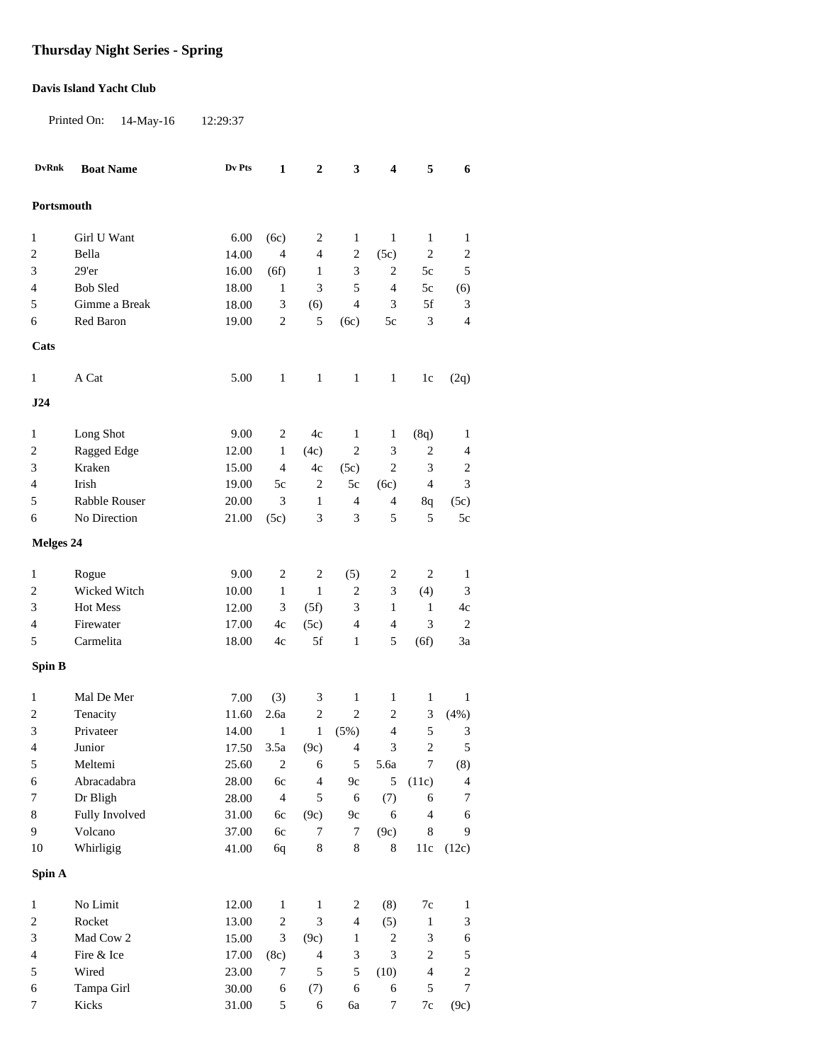## **Thursday Night Series - Spring**

## **Davis Island Yacht Club**

Printed On: 14-May-16 12:29:37

| <b>DvRnk</b>     | <b>Boat Name</b> | Dv Pts | $\mathbf 1$                 | $\mathbf 2$    | $\mathbf{3}$                | 4                           | 5                | $\boldsymbol{6}$            |
|------------------|------------------|--------|-----------------------------|----------------|-----------------------------|-----------------------------|------------------|-----------------------------|
|                  |                  |        |                             |                |                             |                             |                  |                             |
| Portsmouth       |                  |        |                             |                |                             |                             |                  |                             |
| $\mathbf{1}$     | Girl U Want      | 6.00   | (6c)                        | 2              | 1                           | $\mathbf{1}$                | 1                | 1                           |
| 2                | Bella            | 14.00  | $\overline{4}$              | $\overline{4}$ | $\sqrt{2}$                  | (5c)                        | $\sqrt{2}$       | $\boldsymbol{2}$            |
| 3                | 29'er            | 16.00  | (6f)                        | $\mathbf{1}$   | 3                           | 2                           | 5c               | $\mathfrak s$               |
| 4                | <b>Bob Sled</b>  | 18.00  | $\mathbf{1}$                | 3              | 5                           | $\overline{4}$              | 5c               | (6)                         |
| 5                | Gimme a Break    | 18.00  | $\ensuremath{\mathfrak{Z}}$ | (6)            | $\overline{4}$              | 3                           | 5f               | $\ensuremath{\mathfrak{Z}}$ |
| 6                | Red Baron        | 19.00  | $\overline{c}$              | 5              | (6c)                        | 5c                          | $\mathfrak{Z}$   | $\overline{4}$              |
| Cats             |                  |        |                             |                |                             |                             |                  |                             |
| $\mathbf{1}$     | A Cat            | 5.00   | $\mathbf{1}$                | $\mathbf{1}$   | $\mathbf{1}$                | $\mathbf{1}$                | 1c               | (2q)                        |
|                  |                  |        |                             |                |                             |                             |                  |                             |
| J24              |                  |        |                             |                |                             |                             |                  |                             |
| 1                | Long Shot        | 9.00   | 2                           | 4c             | 1                           | $\mathbf{1}$                | (8q)             | $\mathbf{1}$                |
| 2                | Ragged Edge      | 12.00  | $\mathbf{1}$                | (4c)           | $\mathbf{2}$                | $\ensuremath{\mathfrak{Z}}$ | $\sqrt{2}$       | $\overline{4}$              |
| 3                | Kraken           | 15.00  | $\overline{\mathcal{L}}$    | 4c             | (5c)                        | $\overline{c}$              | $\mathfrak 3$    | $\overline{c}$              |
| 4                | Irish            | 19.00  | $5\mathrm{c}$               | $\,2$          | $5c$                        | (6c)                        | $\overline{4}$   | $\mathfrak{Z}$              |
| 5                | Rabble Rouser    | 20.00  | $\mathfrak{Z}$              | $\mathbf{1}$   | $\overline{4}$              | $\overline{4}$              | 8q               | (5c)                        |
| 6                | No Direction     | 21.00  | (5c)                        | 3              | 3                           | 5                           | 5                | 5c                          |
| <b>Melges 24</b> |                  |        |                             |                |                             |                             |                  |                             |
|                  |                  |        |                             |                |                             |                             |                  |                             |
| $\mathbf{1}$     | Rogue            | 9.00   | $\overline{c}$              | $\overline{2}$ | (5)                         | 2                           | $\overline{c}$   | 1                           |
| $\boldsymbol{2}$ | Wicked Witch     | 10.00  | $\mathbf{1}$                | $\mathbf{1}$   | $\mathbf{2}$                | 3                           | (4)              | 3                           |
| 3                | Hot Mess         | 12.00  | 3                           | (5f)           | 3                           | $\mathbf{1}$                | $\mathbf{1}$     | 4c                          |
| 4                | Firewater        | 17.00  | 4c                          | (5c)           | $\overline{4}$              | $\overline{4}$              | $\mathfrak 3$    | $\sqrt{2}$                  |
| 5                | Carmelita        | 18.00  | 4c                          | 5f             | $\mathbf{1}$                | 5                           | (6f)             | 3a                          |
| Spin B           |                  |        |                             |                |                             |                             |                  |                             |
| 1                | Mal De Mer       | 7.00   | (3)                         | 3              | 1                           | $\mathbf{1}$                | $\mathbf{1}$     | $\mathbf{1}$                |
| 2                | Tenacity         | 11.60  | 2.6a                        | $\mathbf{2}$   | $\overline{c}$              | $\overline{c}$              | 3                | (4%)                        |
| 3                | Privateer        | 14.00  | $\mathbf{1}$                | $\mathbf{1}$   | (5%)                        | $\overline{4}$              | $\sqrt{5}$       | 3                           |
| 4                | Junior           | 17.50  | 3.5a                        | (9c)           | $\overline{4}$              | 3                           | $\overline{2}$   | 5                           |
| $\sqrt{5}$       | Meltemi          | 25.60  |                             | $2 \t 6$       | 5 <sup>5</sup>              | 5.6a                        | 7 <sup>7</sup>   | (8)                         |
| $\sqrt{6}$       | Abracadabra      | 28.00  | $6c$                        | $\overline{4}$ | $9c$                        | 5                           | (11c)            | $\overline{4}$              |
| $\boldsymbol{7}$ | Dr Bligh         | 28.00  | $\overline{4}$              | 5              | $\sqrt{6}$                  | (7)                         | $\boldsymbol{6}$ | $\boldsymbol{7}$            |
| $\,8\,$          | Fully Involved   | 31.00  | 6c                          | (9c)           | $9c$                        | $\sqrt{6}$                  | $\overline{4}$   | 6                           |
| 9                | Volcano          | 37.00  | 6c                          | 7              | $\boldsymbol{7}$            | (9c)                        | $\,$ 8 $\,$      | 9                           |
| 10               | Whirligig        | 41.00  | 6q                          | $\,8\,$        | $\,8\,$                     | 8                           | 11c              | (12c)                       |
| Spin A           |                  |        |                             |                |                             |                             |                  |                             |
| $\mathbf{1}$     | No Limit         | 12.00  | $\mathbf{1}$                | $\mathbf{1}$   | $\overline{c}$              | (8)                         | $7\mathrm{c}$    | $\mathbf{1}$                |
| $\boldsymbol{2}$ | Rocket           | 13.00  | $\boldsymbol{2}$            | $\mathfrak{Z}$ | $\overline{4}$              | (5)                         | $\mathbf{1}$     | $\ensuremath{\mathfrak{Z}}$ |
| 3                | Mad Cow 2        | 15.00  | 3                           | (9c)           | $\mathbf{1}$                | $\overline{c}$              | $\mathfrak{Z}$   | $\sqrt{6}$                  |
| 4                | Fire & Ice       | 17.00  | (8c)                        | $\overline{4}$ | $\ensuremath{\mathfrak{Z}}$ | $\ensuremath{\mathfrak{Z}}$ | $\sqrt{2}$       | $\sqrt{5}$                  |
| 5                | Wired            | 23.00  | 7                           | $\sqrt{5}$     | $\sqrt{5}$                  | (10)                        | $\overline{4}$   | $\sqrt{2}$                  |
| 6                | Tampa Girl       | 30.00  | 6                           | (7)            | $\sqrt{6}$                  | $\sqrt{6}$                  | $\sqrt{5}$       | $\boldsymbol{7}$            |
| 7                | Kicks            | 31.00  | 5                           | $\sqrt{6}$     | 6a                          | $\boldsymbol{7}$            | $7\mathrm{c}$    | (9c)                        |
|                  |                  |        |                             |                |                             |                             |                  |                             |